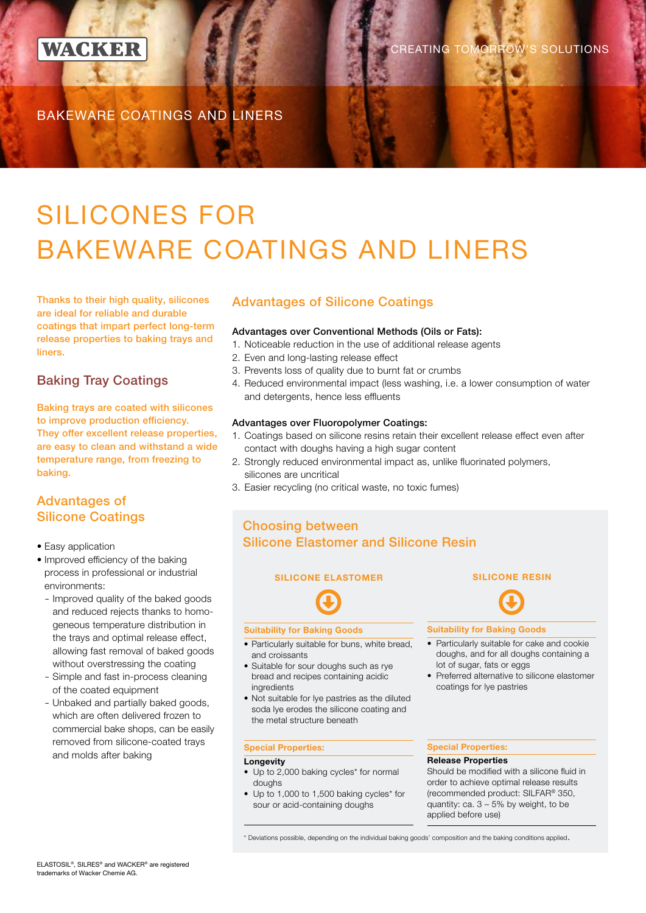

REATING TOMORROW'S SOLUTIONS

BAKEWARE COATINGS AND LINERS

# SILICONES FOR BAKEWARE COATINGS AND LINERS

Thanks to their high quality, silicones are ideal for reliable and durable coatings that impart perfect long-term release properties to baking trays and liners.

### Baking Tray Coatings

Baking trays are coated with silicones to improve production efficiency. They offer excellent release properties, are easy to clean and withstand a wide temperature range, from freezing to baking.

### Advantages of Silicone Coatings

- Easy application
- Improved efficiency of the baking process in professional or industrial environments:
	- Improved quality of the baked goods and reduced rejects thanks to homogeneous temperature distribution in the trays and optimal release effect, allowing fast removal of baked goods without overstressing the coating
	- Simple and fast in-process cleaning of the coated equipment
	- Unbaked and partially baked goods, which are often delivered frozen to commercial bake shops, can be easily removed from silicone-coated trays and molds after baking

### Advantages of Silicone Coatings

#### Advantages over Conventional Methods (Oils or Fats):

- 1. Noticeable reduction in the use of additional release agents
- 2. Even and long-lasting release effect
- 3. Prevents loss of quality due to burnt fat or crumbs
- 4. Reduced environmental impact (less washing, i.e. a lower consumption of water and detergents, hence less effluents

#### Advantages over Fluoropolymer Coatings:

- 1. Coatings based on silicone resins retain their excellent release effect even after contact with doughs having a high sugar content
- 2. Strongly reduced environmental impact as, unlike fluorinated polymers, silicones are uncritical
- 3. Easier recycling (no critical waste, no toxic fumes)

### Choosing between Silicone Elastomer and Silicone Resin

### **SILICONE ELASTOMER** SILICONE RESIN

#### Suitability for Baking Goods

- Particularly suitable for buns, white bread, and croissants
- Suitable for sour doughs such as rye bread and recipes containing acidic ingredients
- Not suitable for lye pastries as the diluted soda lye erodes the silicone coating and the metal structure beneath

#### Special Properties:

#### **Longevity**

- Up to 2,000 baking cycles\* for normal doughs
- Up to 1,000 to 1,500 baking cycles\* for sour or acid-containing doughs



#### Suitability for Baking Goods

- Particularly suitable for cake and cookie doughs, and for all doughs containing a lot of sugar, fats or eggs
- Preferred alternative to silicone elastomer coatings for lye pastries

#### Special Properties:

#### Release Properties

Should be modified with a silicone fluid in order to achieve optimal release results (recommended product: SILFAR® 350, quantity: ca. 3 – 5% by weight, to be applied before use)

\* Deviations possible, depending on the individual baking goods' composition and the baking conditions applied.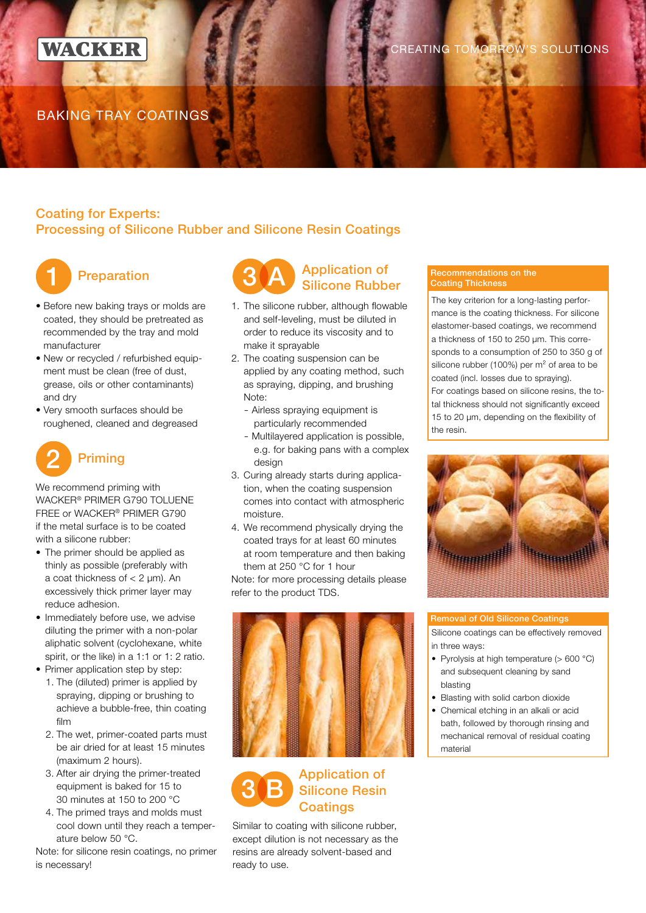

### BAKING TRAY COATINGS

### Coating for Experts: Processing of Silicone Rubber and Silicone Resin Coatings



### **Preparation**

- Before new baking trays or molds are coated, they should be pretreated as recommended by the tray and mold manufacturer
- New or recycled / refurbished equipment must be clean (free of dust, grease, oils or other contaminants) and dry
- Very smooth surfaces should be roughened, cleaned and degreased



We recommend priming with WACKER® PRIMER G790 TOLUENE FREE or WACKER® PRIMER G790 if the metal surface is to be coated with a silicone rubber:

- The primer should be applied as thinly as possible (preferably with a coat thickness of  $<$  2  $\mu$ m). An excessively thick primer layer may reduce adhesion.
- Immediately before use, we advise diluting the primer with a non-polar aliphatic solvent (cyclohexane, white spirit, or the like) in a 1:1 or 1: 2 ratio.
- Primer application step by step:
	- 1. The (diluted) primer is applied by spraying, dipping or brushing to achieve a bubble-free, thin coating film
	- 2. The wet, primer-coated parts must be air dried for at least 15 minutes (maximum 2 hours).
	- 3. After air drying the primer-treated equipment is baked for 15 to 30 minutes at 150 to 200 °C
	- 4. The primed trays and molds must cool down until they reach a temperature below 50 °C.

Note: for silicone resin coatings, no primer is necessary!



### 1. The silicone rubber, although flowable and self-leveling, must be diluted in order to reduce its viscosity and to make it sprayable

- 2. The coating suspension can be applied by any coating method, such as spraying, dipping, and brushing Note:
	- Airless spraying equipment is particularly recommended
	- Multilayered application is possible, e.g. for baking pans with a complex design
- 3. Curing already starts during application, when the coating suspension comes into contact with atmospheric moisture.
- 4. We recommend physically drying the coated trays for at least 60 minutes at room temperature and then baking them at 250 °C for 1 hour

Note: for more processing details please refer to the product TDS.



## 3 B Application of Silicone Resin Coatings

Similar to coating with silicone rubber, except dilution is not necessary as the resins are already solvent-based and ready to use.

### Recommendations on the Coating Thickness

The key criterion for a long-lasting performance is the coating thickness. For silicone elastomer-based coatings, we recommend a thickness of 150 to 250 μm. This corresponds to a consumption of 250 to 350 g of silicone rubber (100%) per  $m<sup>2</sup>$  of area to be coated (incl. losses due to spraying). For coatings based on silicone resins, the total thickness should not significantly exceed 15 to 20 μm, depending on the flexibility of the resin.



#### Removal of Old Silicone Coatings

Silicone coatings can be effectively removed in three ways:

- Pyrolysis at high temperature (> 600 °C) and subsequent cleaning by sand blasting
- Blasting with solid carbon dioxide
- Chemical etching in an alkali or acid bath, followed by thorough rinsing and mechanical removal of residual coating material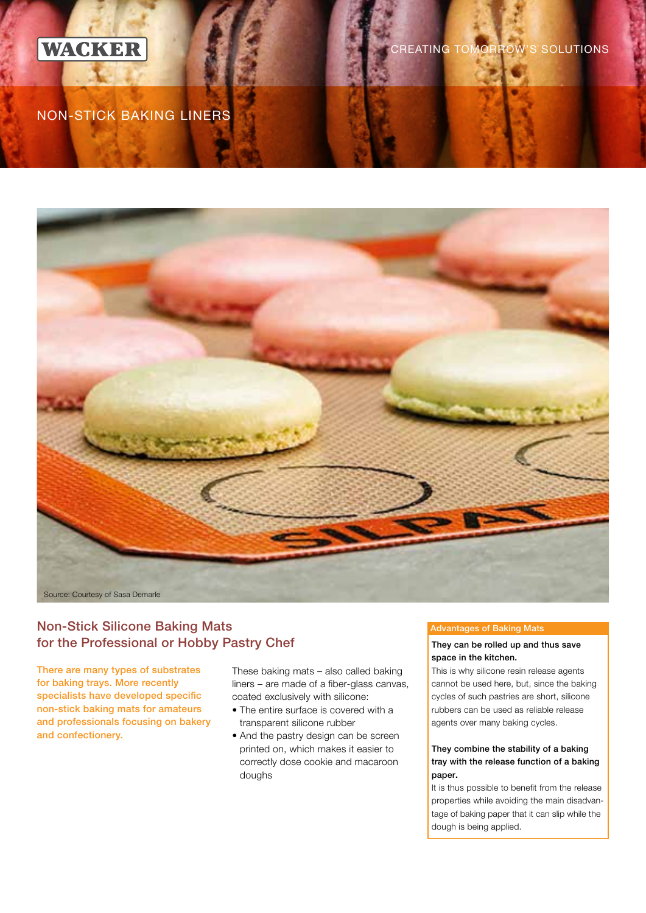

**REATING TOMORROW'S SOLUTIONS** 

### NON-STICK BAKING LINERS



### Non-Stick Silicone Baking Mats for the Professional or Hobby Pastry Chef They can be rolled up and thus save

There are many types of substrates for baking trays. More recently specialists have developed specific non-stick baking mats for amateurs and professionals focusing on bakery and confectionery.

These baking mats – also called baking liners – are made of a fiber-glass canvas, coated exclusively with silicone:

- The entire surface is covered with a transparent silicone rubber
- And the pastry design can be screen printed on, which makes it easier to correctly dose cookie and macaroon doughs

#### Advantages of Baking Mats

### space in the kitchen.

This is why silicone resin release agents cannot be used here, but, since the baking cycles of such pastries are short, silicone rubbers can be used as reliable release agents over many baking cycles.

#### They combine the stability of a baking tray with the release function of a baking paper.

It is thus possible to benefit from the release properties while avoiding the main disadvantage of baking paper that it can slip while the dough is being applied.